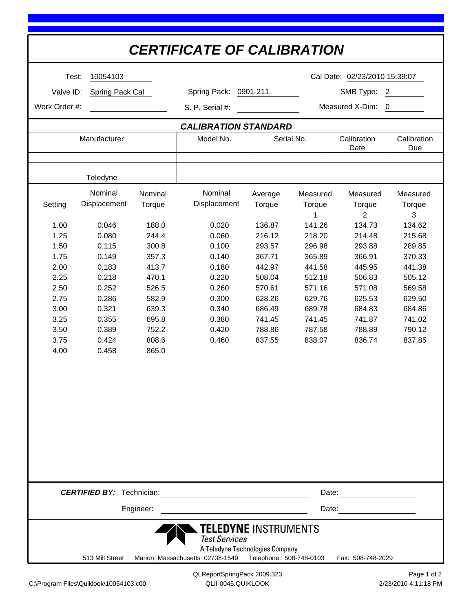| <b>CERTIFICATE OF CALIBRATION</b>                                                                                                                       |                         |         |                                                                 |                         |                             |                          |                    |  |
|---------------------------------------------------------------------------------------------------------------------------------------------------------|-------------------------|---------|-----------------------------------------------------------------|-------------------------|-----------------------------|--------------------------|--------------------|--|
| Test:                                                                                                                                                   | 10054103                |         | Cal Date: 02/23/2010 15:39:07                                   |                         |                             |                          |                    |  |
| Valve ID:<br>Spring Pack Cal                                                                                                                            |                         |         | Spring Pack:<br>0901-211                                        |                         | SMB Type:<br>$\overline{c}$ |                          |                    |  |
| Work Order #:                                                                                                                                           |                         |         |                                                                 |                         | Measured X-Dim:<br>$\Omega$ |                          |                    |  |
|                                                                                                                                                         |                         |         | S. P. Serial #:                                                 |                         |                             |                          |                    |  |
| <b>CALIBRATION STANDARD</b>                                                                                                                             |                         |         |                                                                 |                         |                             |                          |                    |  |
| Manufacturer                                                                                                                                            |                         |         | Model No.                                                       | Serial No.              |                             | Calibration<br>Date      | Calibration<br>Due |  |
|                                                                                                                                                         |                         |         |                                                                 |                         |                             |                          |                    |  |
|                                                                                                                                                         | Teledyne                |         |                                                                 |                         |                             |                          |                    |  |
|                                                                                                                                                         | Nominal<br>Displacement | Nominal | Nominal<br>Displacement                                         | Average                 | Measured                    | Measured                 | Measured           |  |
| Setting                                                                                                                                                 |                         | Torque  |                                                                 | Torque                  | Torque<br>1                 | Torque<br>$\overline{2}$ | Torque<br>3        |  |
| 1.00                                                                                                                                                    | 0.046                   | 188.0   | 0.020                                                           | 136.87                  | 141.26                      | 134.73                   | 134.62             |  |
| 1.25                                                                                                                                                    | 0.080                   | 244.4   | 0.060                                                           | 216.12                  | 218.20                      | 214.48                   | 215.68             |  |
| 1.50                                                                                                                                                    | 0.115                   | 300.8   | 0.100                                                           | 293.57                  | 296.98                      | 293.88                   | 289.85             |  |
| 1.75                                                                                                                                                    | 0.149                   | 357.3   | 0.140                                                           | 367.71                  | 365.89                      | 366.91                   | 370.33             |  |
| 2.00                                                                                                                                                    | 0.183                   | 413.7   | 0.180                                                           | 442.97                  | 441.58                      | 445.95                   | 441.38             |  |
| 2.25                                                                                                                                                    | 0.218                   | 470.1   | 0.220                                                           | 508.04                  | 512.18                      | 506.83                   | 505.12             |  |
| 2.50                                                                                                                                                    | 0.252                   | 526.5   | 0.260                                                           | 570.61                  | 571.16                      | 571.08                   | 569.58             |  |
| 2.75                                                                                                                                                    | 0.286                   | 582.9   | 0.300                                                           | 628.26                  | 629.76                      | 625.53                   | 629.50             |  |
| 3.00                                                                                                                                                    | 0.321                   | 639.3   | 0.340                                                           | 686.49                  | 689.78                      | 684.83                   | 684.86             |  |
| 3.25                                                                                                                                                    | 0.355                   | 695.8   | 0.380                                                           | 741.45                  | 741.45                      | 741.87                   | 741.02             |  |
| 3.50                                                                                                                                                    | 0.389                   | 752.2   | 0.420                                                           | 788.86                  | 787.58                      | 788.89                   | 790.12             |  |
| 3.75                                                                                                                                                    | 0.424                   | 808.6   | 0.460                                                           | 837.55                  | 838.07                      | 836.74                   | 837.85             |  |
| 4.00                                                                                                                                                    | 0.458                   | 865.0   |                                                                 |                         |                             |                          |                    |  |
|                                                                                                                                                         |                         |         |                                                                 |                         |                             |                          |                    |  |
|                                                                                                                                                         |                         |         |                                                                 |                         |                             |                          |                    |  |
|                                                                                                                                                         |                         |         |                                                                 |                         |                             |                          |                    |  |
|                                                                                                                                                         |                         |         |                                                                 |                         |                             |                          |                    |  |
| <b>CERTIFIED BY: Technician:</b><br><u> 1980 - Johann Barn, mars ann an t-Amhain an t-Amhain an t-Amhain an t-Amhain an t-Amhain an t-Amhain an t-A</u> |                         |         |                                                                 |                         |                             | Date: _______________    |                    |  |
| Engineer:<br>Date:                                                                                                                                      |                         |         |                                                                 |                         |                             |                          |                    |  |
| <b>TELEDYNE INSTRUMENTS</b><br><b>Test Services</b><br>A Teledyne Technologies Company                                                                  |                         |         |                                                                 |                         |                             |                          |                    |  |
|                                                                                                                                                         | 513 Mill Street         |         | Marion, Massachusetts 02738-1549<br>QLReportSpringPack 2009.323 | Telephone: 508-748-0103 |                             | Fax: 508-748-2029        | Page 1 of 2        |  |